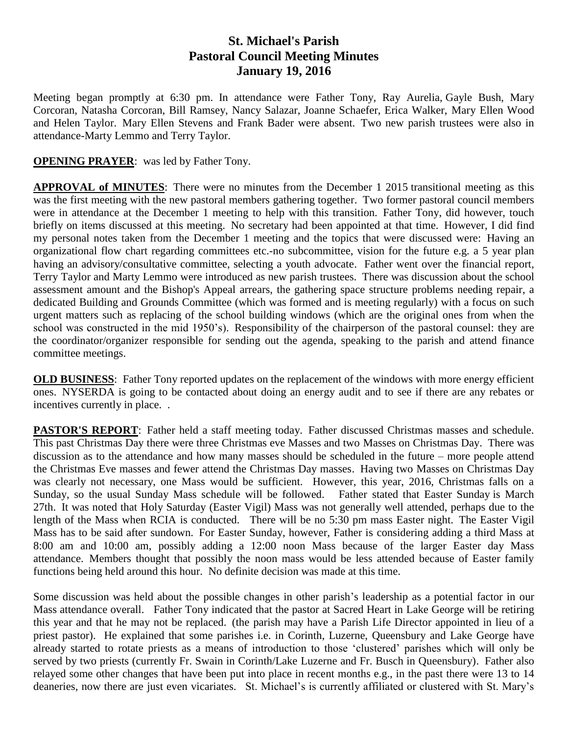## **St. Michael's Parish Pastoral Council Meeting Minutes January 19, 2016**

Meeting began promptly at 6:30 pm. In attendance were Father Tony, Ray Aurelia, Gayle Bush, Mary Corcoran, Natasha Corcoran, Bill Ramsey, Nancy Salazar, Joanne Schaefer, Erica Walker, Mary Ellen Wood and Helen Taylor. Mary Ellen Stevens and Frank Bader were absent. Two new parish trustees were also in attendance-Marty Lemmo and Terry Taylor.

## **OPENING PRAYER:** was led by Father Tony.

**APPROVAL of MINUTES**: There were no minutes from the December 1 2015 transitional meeting as this was the first meeting with the new pastoral members gathering together. Two former pastoral council members were in attendance at the December 1 meeting to help with this transition. Father Tony, did however, touch briefly on items discussed at this meeting. No secretary had been appointed at that time. However, I did find my personal notes taken from the December 1 meeting and the topics that were discussed were: Having an organizational flow chart regarding committees etc.-no subcommittee, vision for the future e.g. a 5 year plan having an advisory/consultative committee, selecting a youth advocate. Father went over the financial report, Terry Taylor and Marty Lemmo were introduced as new parish trustees. There was discussion about the school assessment amount and the Bishop's Appeal arrears, the gathering space structure problems needing repair, a dedicated Building and Grounds Committee (which was formed and is meeting regularly) with a focus on such urgent matters such as replacing of the school building windows (which are the original ones from when the school was constructed in the mid 1950's). Responsibility of the chairperson of the pastoral counsel: they are the coordinator/organizer responsible for sending out the agenda, speaking to the parish and attend finance committee meetings.

**OLD BUSINESS:** Father Tony reported updates on the replacement of the windows with more energy efficient ones. NYSERDA is going to be contacted about doing an energy audit and to see if there are any rebates or incentives currently in place. .

**PASTOR'S REPORT:** Father held a staff meeting today. Father discussed Christmas masses and schedule. This past Christmas Day there were three Christmas eve Masses and two Masses on Christmas Day. There was discussion as to the attendance and how many masses should be scheduled in the future – more people attend the Christmas Eve masses and fewer attend the Christmas Day masses. Having two Masses on Christmas Day was clearly not necessary, one Mass would be sufficient. However, this year, 2016, Christmas falls on a Sunday, so the usual Sunday Mass schedule will be followed. Father stated that Easter Sunday is March 27th. It was noted that Holy Saturday (Easter Vigil) Mass was not generally well attended, perhaps due to the length of the Mass when RCIA is conducted. There will be no 5:30 pm mass Easter night. The Easter Vigil Mass has to be said after sundown. For Easter Sunday, however, Father is considering adding a third Mass at 8:00 am and 10:00 am, possibly adding a 12:00 noon Mass because of the larger Easter day Mass attendance. Members thought that possibly the noon mass would be less attended because of Easter family functions being held around this hour. No definite decision was made at this time.

Some discussion was held about the possible changes in other parish's leadership as a potential factor in our Mass attendance overall. Father Tony indicated that the pastor at Sacred Heart in Lake George will be retiring this year and that he may not be replaced. (the parish may have a Parish Life Director appointed in lieu of a priest pastor). He explained that some parishes i.e. in Corinth, Luzerne, Queensbury and Lake George have already started to rotate priests as a means of introduction to those 'clustered' parishes which will only be served by two priests (currently Fr. Swain in Corinth/Lake Luzerne and Fr. Busch in Queensbury). Father also relayed some other changes that have been put into place in recent months e.g., in the past there were 13 to 14 deaneries, now there are just even vicariates. St. Michael's is currently affiliated or clustered with St. Mary's